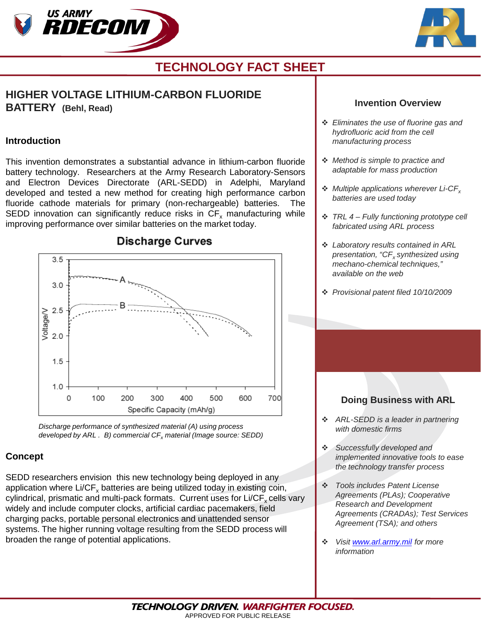



# **TECHNOLOGY FACT SHEET**

# **HIGHER VOLTAGE LITHIUM-CARBON FLUORIDE BATTERY (Behl, Read)**

#### **Introduction**

This invention demonstrates a substantial advance in lithium-carbon fluoride battery technology. Researchers at the Army Research Laboratory-Sensors and Electron Devices Directorate (ARL-SEDD) in Adelphi, Maryland developed and tested a new method for creating high performance carbon fluoride cathode materials for primary (non-rechargeable) batteries. The SEDD innovation can significantly reduce risks in  $CF<sub>x</sub>$  manufacturing while improving performance over similar batteries on the market today.



*Discharge performance of synthesized material (A) using process developed by ARL. B) commercial CF<sub>x</sub> material (Image source: SEDD)* 

### **Concept**

SEDD researchers envision this new technology being deployed in any application where  $Li/CF<sub>x</sub>$  batteries are being utilized today in existing coin, cylindrical, prismatic and multi-pack formats. Current uses for  $Li/CF<sub>x</sub>$  cells vary widely and include computer clocks, artificial cardiac pacemakers, field charging packs, portable personal electronics and unattended sensor systems. The higher running voltage resulting from the SEDD process will broaden the range of potential applications.

#### **Invention Overview**

- *Eliminates the use of fluorine gas and hydrofluoric acid from the cell manufacturing process*
- *Method is simple to practice and adaptable for mass production*
- *Multiple applications wherever Li-CFx batteries are used today*
- *TRL 4 – Fully functioning prototype cell fabricated using ARL process*
- *Laboratory results contained in ARL presentation, "CFx synthesized using mechano-chemical techniques," available on the web*
- *Provisional patent filed 10/10/2009*

## **Doing Business with ARL**

- *ARL-SEDD is a leader in partnering with domestic firms*
- *Successfully developed and implemented innovative tools to ease the technology transfer process*
- *Tools includes Patent License Agreements (PLAs); Cooperative Research and Development Agreements (CRADAs); Test Services Agreement (TSA); and others*
- *Visit [www.arl.army.mil](http://www.arl.army.mil/) for more information*